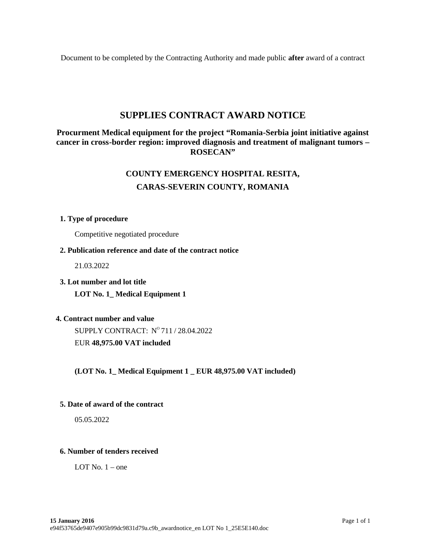Document to be completed by the Contracting Authority and made public **after** award of a contract

## **SUPPLIES CONTRACT AWARD NOTICE**

## **Procurment Medical equipment for the project "Romania-Serbia joint initiative against cancer in cross-border region: improved diagnosis and treatment of malignant tumors – ROSECAN"**

# **COUNTY EMERGENCY HOSPITAL RESITA, CARAS-SEVERIN COUNTY, ROMANIA**

#### **1. Type of procedure**

Competitive negotiated procedure

#### **2. Publication reference and date of the contract notice**

21.03.2022

**3. Lot number and lot title**

**LOT No. 1\_ Medical Equipment 1**

## **4. Contract number and value**

SUPPLY CONTRACT:  $N^{\rm o}\,711$  / 28.04.2022 EUR **48,975.00 VAT included**

**(LOT No. 1\_ Medical Equipment 1 \_ EUR 48,975.00 VAT included)**

#### **5. Date of award of the contract**

05.05.2022

## **6. Number of tenders received**

LOT No.  $1$  – one